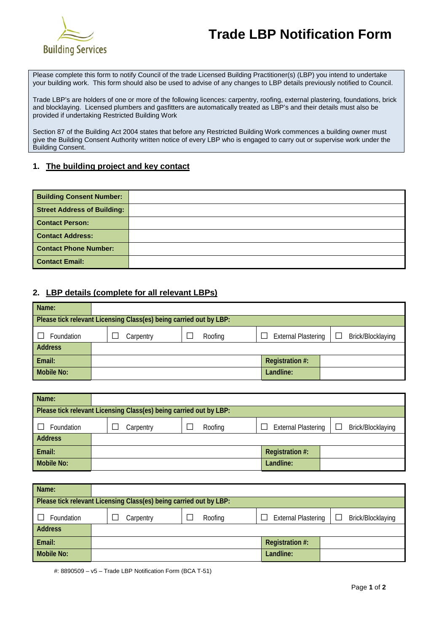

## **Trade LBP Notification Form**

Please complete this form to notify Council of the trade Licensed Building Practitioner(s) (LBP) you intend to undertake your building work. This form should also be used to advise of any changes to LBP details previously notified to Council.

Trade LBP's are holders of one or more of the following licences: carpentry, roofing, external plastering, foundations, brick and blocklaying. Licensed plumbers and gasfitters are automatically treated as LBP's and their details must also be provided if undertaking Restricted Building Work

Section 87 of the Building Act 2004 states that before any Restricted Building Work commences a building owner must give the Building Consent Authority written notice of every LBP who is engaged to carry out or supervise work under the Building Consent.

#### **1. The building project and key contact**

| <b>Building Consent Number:</b>    |  |
|------------------------------------|--|
| <b>Street Address of Building:</b> |  |
| <b>Contact Person:</b>             |  |
| <b>Contact Address:</b>            |  |
| <b>Contact Phone Number:</b>       |  |
| <b>Contact Email:</b>              |  |

#### **2. LBP details (complete for all relevant LBPs)**

| Name:                                                              |           |         |                                            |                   |  |  |
|--------------------------------------------------------------------|-----------|---------|--------------------------------------------|-------------------|--|--|
| Please tick relevant Licensing Class(es) being carried out by LBP: |           |         |                                            |                   |  |  |
| Foundation                                                         | Carpentry | Roofing | <b>External Plastering</b><br>$\mathbf{L}$ | Brick/Blocklaying |  |  |
| <b>Address</b>                                                     |           |         |                                            |                   |  |  |
| Email:                                                             |           |         | Registration #:                            |                   |  |  |
| <b>Mobile No:</b>                                                  |           |         | Landline:                                  |                   |  |  |

| Name:                                                              |  |           |  |         |   |                            |                   |
|--------------------------------------------------------------------|--|-----------|--|---------|---|----------------------------|-------------------|
| Please tick relevant Licensing Class(es) being carried out by LBP: |  |           |  |         |   |                            |                   |
| Foundation                                                         |  | Carpentry |  | Roofing | П | <b>External Plastering</b> | Brick/Blocklaying |
| <b>Address</b>                                                     |  |           |  |         |   |                            |                   |
| Email:                                                             |  |           |  |         |   | Registration #:            |                   |
| Mobile No:                                                         |  |           |  |         |   | Landline:                  |                   |

| Name:                                                              |  |           |  |  |         |  |                            |        |                   |
|--------------------------------------------------------------------|--|-----------|--|--|---------|--|----------------------------|--------|-------------------|
| Please tick relevant Licensing Class(es) being carried out by LBP: |  |           |  |  |         |  |                            |        |                   |
| Foundation                                                         |  | Carpentry |  |  | Roofing |  | <b>External Plastering</b> | $\Box$ | Brick/Blocklaying |
| <b>Address</b>                                                     |  |           |  |  |         |  |                            |        |                   |
| Email:                                                             |  |           |  |  |         |  | Registration #:            |        |                   |
| <b>Mobile No:</b>                                                  |  |           |  |  |         |  | Landline:                  |        |                   |

#: 8890509 – v5 – Trade LBP Notification Form (BCA T-51)